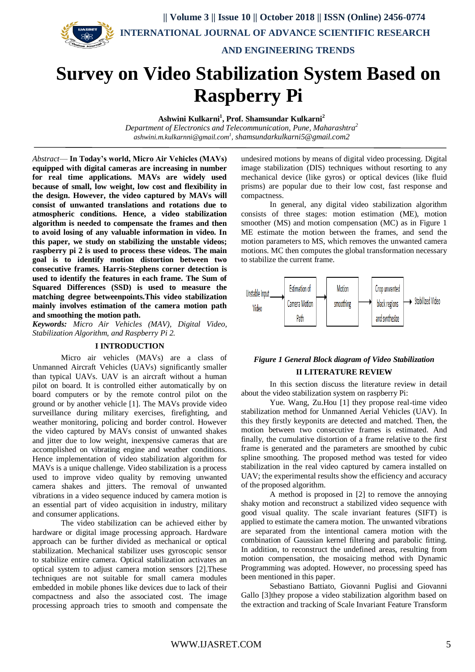

# **Survey on Video Stabilization System Based on Raspberry Pi**

**Ashwini Kulkarni<sup>1</sup> , Prof. Shamsundar Kulkarni<sup>2</sup>**

*Department of Electronics and Telecommunication, Pune, Maharashtra<sup>2</sup> ashwini.m.kulkarnni@gmail.com<sup>1</sup> , shamsundarkulkarni5@gmail.com2*

*Abstract*— **In Today's world, Micro Air Vehicles (MAVs) equipped with digital cameras are increasing in number for real time applications. MAVs are widely used because of small, low weight, low cost and flexibility in the design. However, the video captured by MAVs will consist of unwanted translations and rotations due to atmospheric conditions. Hence, a video stabilization algorithm is needed to compensate the frames and then to avoid losing of any valuable information in video. In this paper, we study on stabilizing the unstable videos; raspberry pi 2 is used to process these videos. The main goal is to identify motion distortion between two consecutive frames. Harris-Stephens corner detection is used to identify the features in each frame. The Sum of Squared Differences (SSD) is used to measure the matching degree betweenpoints.This video stabilization mainly involves estimation of the camera motion path and smoothing the motion path.**

*Keywords: Micro Air Vehicles (MAV), Digital Video, Stabilization Algorithm, and Raspberry Pi 2.*

## **I INTRODUCTION**

Micro air vehicles (MAVs) are a class of Unmanned Aircraft Vehicles (UAVs) significantly smaller than typical UAVs. UAV is an aircraft without a human pilot on board. It is controlled either automatically by on board computers or by the remote control pilot on the ground or by another vehicle [1]. The MAVs provide video surveillance during military exercises, firefighting, and weather monitoring, policing and border control. However the video captured by MAVs consist of unwanted shakes and jitter due to low weight, inexpensive cameras that are accomplished on vibrating engine and weather conditions. Hence implementation of video stabilization algorithm for MAVs is a unique challenge. Video stabilization is a process used to improve video quality by removing unwanted camera shakes and jitters. The removal of unwanted vibrations in a video sequence induced by camera motion is an essential part of video acquisition in industry, military and consumer applications.

The video stabilization can be achieved either by hardware or digital image processing approach. Hardware approach can be further divided as mechanical or optical stabilization. Mechanical stabilizer uses gyroscopic sensor to stabilize entire camera. Optical stabilization activates an optical system to adjust camera motion sensors [2].These techniques are not suitable for small camera modules embedded in mobile phones like devices due to lack of their compactness and also the associated cost. The image processing approach tries to smooth and compensate the

undesired motions by means of digital video processing. Digital image stabilization (DIS) techniques without resorting to any mechanical device (like gyros) or optical devices (like fluid prisms) are popular due to their low cost, fast response and compactness.

In general, any digital video stabilization algorithm consists of three stages: motion estimation (ME), motion smoother (MS) and motion compensation (MC) as in Figure 1 ME estimate the motion between the frames, and send the motion parameters to MS, which removes the unwanted camera motions. MC then computes the global transformation necessary to stabilize the current frame.



## *Figure 1 General Block diagram of Video Stabilization* **II LITERATURE REVIEW**

In this section discuss the literature review in detail about the video stabilization system on raspberry Pi:

Yue. Wang, Zu.Hou [1] they propose real-time video stabilization method for Unmanned Aerial Vehicles (UAV). In this they firstly keyponits are detected and matched. Then, the motion between two consecutive frames is estimated. And finally, the cumulative distortion of a frame relative to the first frame is generated and the parameters are smoothed by cubic spline smoothing. The proposed method was tested for video stabilization in the real video captured by camera installed on UAV; the experimental results show the efficiency and accuracy of the proposed algorithm.

A method is proposed in [2] to remove the annoying shaky motion and reconstruct a stabilized video sequence with good visual quality. The scale invariant features (SIFT) is applied to estimate the camera motion. The unwanted vibrations are separated from the intentional camera motion with the combination of Gaussian kernel filtering and parabolic fitting. In addition, to reconstruct the undefined areas, resulting from motion compensation, the mosaicing method with Dynamic Programming was adopted. However, no processing speed has been mentioned in this paper.

Sebastiano Battiato, Giovanni Puglisi and Giovanni Gallo [3]they propose a video stabilization algorithm based on the extraction and tracking of Scale Invariant Feature Transform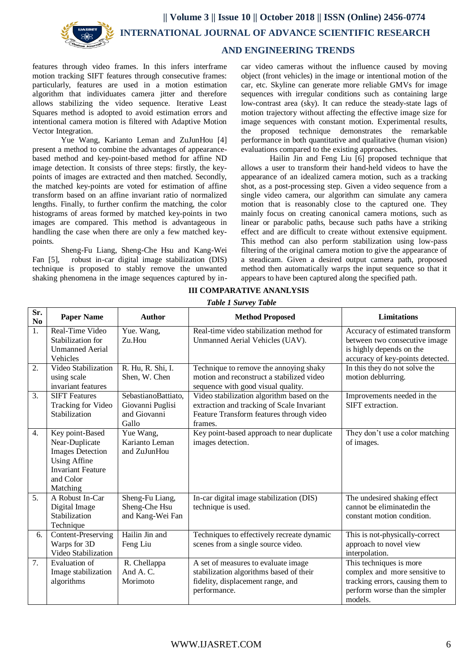

# **AND ENGINEERING TRENDS**

features through video frames. In this infers interframe motion tracking SIFT features through consecutive frames: particularly, features are used in a motion estimation algorithm that individuates camera jitter and therefore allows stabilizing the video sequence. Iterative Least Squares method is adopted to avoid estimation errors and intentional camera motion is filtered with Adaptive Motion Vector Integration.

Yue Wang, Karianto Leman and ZuJunHou [4] present a method to combine the advantages of appearancebased method and key-point-based method for affine ND image detection. It consists of three steps: firstly, the keypoints of images are extracted and then matched. Secondly, the matched key-points are voted for estimation of affine transform based on an affine invariant ratio of normalized lengths. Finally, to further confirm the matching, the color histograms of areas formed by matched key-points in two images are compared. This method is advantageous in handling the case when there are only a few matched keypoints.

Sheng-Fu Liang, Sheng-Che Hsu and Kang-Wei Fan [5], robust in-car digital image stabilization (DIS) technique is proposed to stably remove the unwanted shaking phenomena in the image sequences captured by in-

car video cameras without the influence caused by moving object (front vehicles) in the image or intentional motion of the car, etc. Skyline can generate more reliable GMVs for image sequences with irregular conditions such as containing large low-contrast area (sky). It can reduce the steady-state lags of motion trajectory without affecting the effective image size for image sequences with constant motion. Experimental results, the proposed technique demonstrates the remarkable performance in both quantitative and qualitative (human vision) evaluations compared to the existing approaches.

Hailin Jin and Feng Liu [6] proposed technique that allows a user to transform their hand-held videos to have the appearance of an idealized camera motion, such as a tracking shot, as a post-processing step. Given a video sequence from a single video camera, our algorithm can simulate any camera motion that is reasonably close to the captured one. They mainly focus on creating canonical camera motions, such as linear or parabolic paths, because such paths have a striking effect and are difficult to create without extensive equipment. This method can also perform stabilization using low-pass filtering of the original camera motion to give the appearance of a steadicam. Given a desired output camera path, proposed method then automatically warps the input sequence so that it appears to have been captured along the specified path.

| <b>Table 1 Survey Table</b> |                                                                                                                                          |                                                                  |                                                                                                                                                 |                                                                                                                                           |
|-----------------------------|------------------------------------------------------------------------------------------------------------------------------------------|------------------------------------------------------------------|-------------------------------------------------------------------------------------------------------------------------------------------------|-------------------------------------------------------------------------------------------------------------------------------------------|
| Sr.<br>No                   | <b>Paper Name</b>                                                                                                                        | <b>Author</b>                                                    | <b>Method Proposed</b>                                                                                                                          | <b>Limitations</b>                                                                                                                        |
| 1.                          | Real-Time Video<br>Stabilization for<br><b>Unmanned Aerial</b><br><b>Vehicles</b>                                                        | Yue. Wang,<br>$Zu$ . Hou                                         | Real-time video stabilization method for<br>Unmanned Aerial Vehicles (UAV).                                                                     | Accuracy of estimated transform<br>between two consecutive image<br>is highly depends on the<br>accuracy of key-points detected.          |
| 2.                          | Video Stabilization<br>using scale<br>invariant features                                                                                 | R. Hu, R. Shi, I.<br>Shen, W. Chen                               | Technique to remove the annoying shaky<br>motion and reconstruct a stabilized video<br>sequence with good visual quality.                       | In this they do not solve the<br>motion deblurring.                                                                                       |
| $\overline{3}$ .            | <b>SIFT Features</b><br>Tracking for Video<br>Stabilization                                                                              | SebastianoBattiato,<br>Giovanni Puglisi<br>and Giovanni<br>Gallo | Video stabilization algorithm based on the<br>extraction and tracking of Scale Invariant<br>Feature Transform features through video<br>frames. | Improvements needed in the<br>SIFT extraction.                                                                                            |
| 4.                          | Key point-Based<br>Near-Duplicate<br><b>Images Detection</b><br><b>Using Affine</b><br><b>Invariant Feature</b><br>and Color<br>Matching | Yue Wang,<br>Karianto Leman<br>and ZuJunHou                      | Key point-based approach to near duplicate<br>images detection.                                                                                 | They don't use a color matching<br>of images.                                                                                             |
| 5.                          | A Robust In-Car<br>Digital Image<br>Stabilization<br>Technique                                                                           | Sheng-Fu Liang,<br>Sheng-Che Hsu<br>and Kang-Wei Fan             | In-car digital image stabilization (DIS)<br>technique is used.                                                                                  | The undesired shaking effect<br>cannot be eliminated in the<br>constant motion condition.                                                 |
| 6.                          | Content-Preserving<br>Warps for 3D<br>Video Stabilization                                                                                | Hailin Jin and<br>Feng Liu                                       | Techniques to effectively recreate dynamic<br>scenes from a single source video.                                                                | This is not-physically-correct<br>approach to novel view<br>interpolation.                                                                |
| 7.                          | <b>Evaluation</b> of<br>Image stabilization<br>algorithms                                                                                | R. Chellappa<br>And A. $C$ .<br>Morimoto                         | A set of measures to evaluate image<br>stabilization algorithms based of their<br>fidelity, displacement range, and<br>performance.             | This techniques is more<br>complex and more sensitive to<br>tracking errors, causing them to<br>perform worse than the simpler<br>models. |

# **III COMPARATIVE ANANLYSIS**